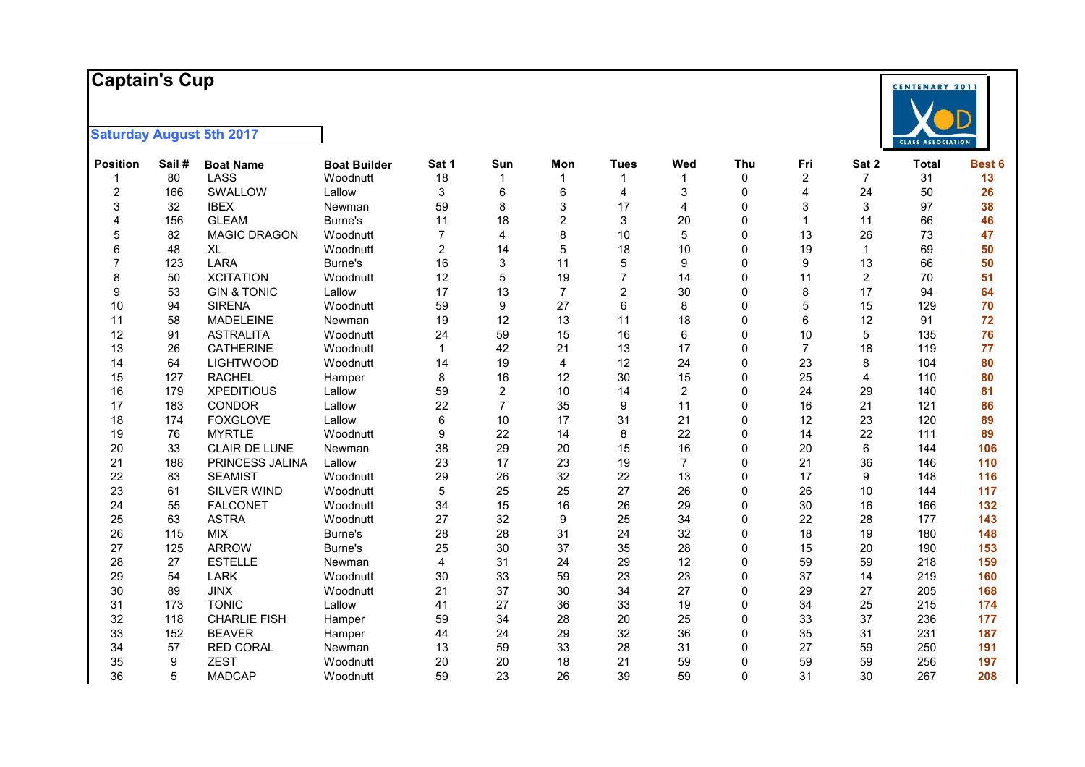#### **Captai n 's Cup**



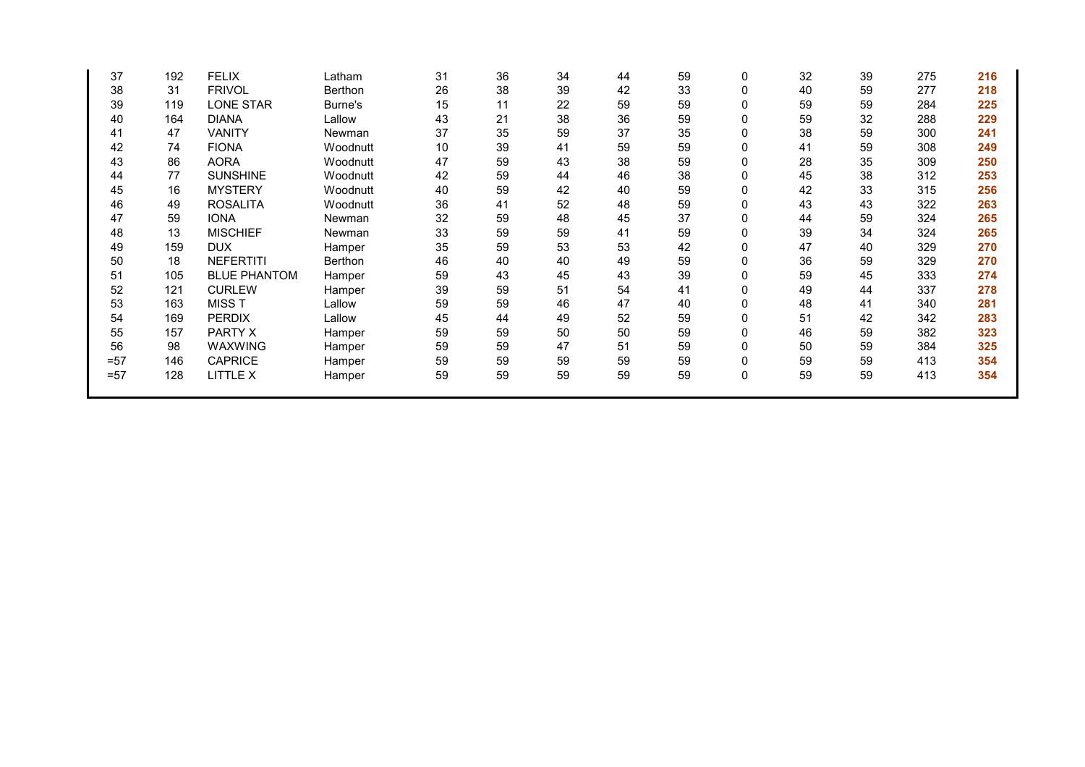| 37     | 192 | <b>FELIX</b>        | Latham   | 31 | 36 | 34 | 44 | 59 | 0 | 32 | 39 | 275 | 216 |
|--------|-----|---------------------|----------|----|----|----|----|----|---|----|----|-----|-----|
| 38     | 31  | <b>FRIVOL</b>       | Berthon  | 26 | 38 | 39 | 42 | 33 | 0 | 40 | 59 | 277 | 218 |
| 39     | 119 | <b>LONE STAR</b>    | Burne's  | 15 | 11 | 22 | 59 | 59 |   | 59 | 59 | 284 | 225 |
| 40     | 164 | <b>DIANA</b>        | Lallow   | 43 | 21 | 38 | 36 | 59 |   | 59 | 32 | 288 | 229 |
| 41     | 47  | <b>VANITY</b>       | Newman   | 37 | 35 | 59 | 37 | 35 |   | 38 | 59 | 300 | 241 |
| 42     | 74  | <b>FIONA</b>        | Woodnutt | 10 | 39 | 41 | 59 | 59 |   | 41 | 59 | 308 | 249 |
| 43     | 86  | <b>AORA</b>         | Woodnutt | 47 | 59 | 43 | 38 | 59 |   | 28 | 35 | 309 | 250 |
| 44     | 77  | <b>SUNSHINE</b>     | Woodnutt | 42 | 59 | 44 | 46 | 38 |   | 45 | 38 | 312 | 253 |
| 45     | 16  | <b>MYSTERY</b>      | Woodnutt | 40 | 59 | 42 | 40 | 59 | 0 | 42 | 33 | 315 | 256 |
| 46     | 49  | <b>ROSALITA</b>     | Woodnutt | 36 | 41 | 52 | 48 | 59 | 0 | 43 | 43 | 322 | 263 |
| 47     | 59  | <b>IONA</b>         | Newman   | 32 | 59 | 48 | 45 | 37 | 0 | 44 | 59 | 324 | 265 |
| 48     | 13  | <b>MISCHIEF</b>     | Newman   | 33 | 59 | 59 | 41 | 59 |   | 39 | 34 | 324 | 265 |
| 49     | 159 | <b>DUX</b>          | Hamper   | 35 | 59 | 53 | 53 | 42 |   | 47 | 40 | 329 | 270 |
| 50     | 18  | <b>NEFERTITI</b>    | Berthon  | 46 | 40 | 40 | 49 | 59 |   | 36 | 59 | 329 | 270 |
| 51     | 105 | <b>BLUE PHANTOM</b> | Hamper   | 59 | 43 | 45 | 43 | 39 |   | 59 | 45 | 333 | 274 |
| 52     | 121 | <b>CURLEW</b>       | Hamper   | 39 | 59 | 51 | 54 | 41 | U | 49 | 44 | 337 | 278 |
| 53     | 163 | MISS T              | Lallow   | 59 | 59 | 46 | 47 | 40 |   | 48 | 41 | 340 | 281 |
| 54     | 169 | <b>PERDIX</b>       | Lallow   | 45 | 44 | 49 | 52 | 59 | 0 | 51 | 42 | 342 | 283 |
| 55     | 157 | PARTY X             | Hamper   | 59 | 59 | 50 | 50 | 59 |   | 46 | 59 | 382 | 323 |
| 56     | 98  | <b>WAXWING</b>      | Hamper   | 59 | 59 | 47 | 51 | 59 | O | 50 | 59 | 384 | 325 |
| $= 57$ | 146 | <b>CAPRICE</b>      | Hamper   | 59 | 59 | 59 | 59 | 59 |   | 59 | 59 | 413 | 354 |
| $= 57$ | 128 | LITTLE X            | Hamper   | 59 | 59 | 59 | 59 | 59 | 0 | 59 | 59 | 413 | 354 |
|        |     |                     |          |    |    |    |    |    |   |    |    |     |     |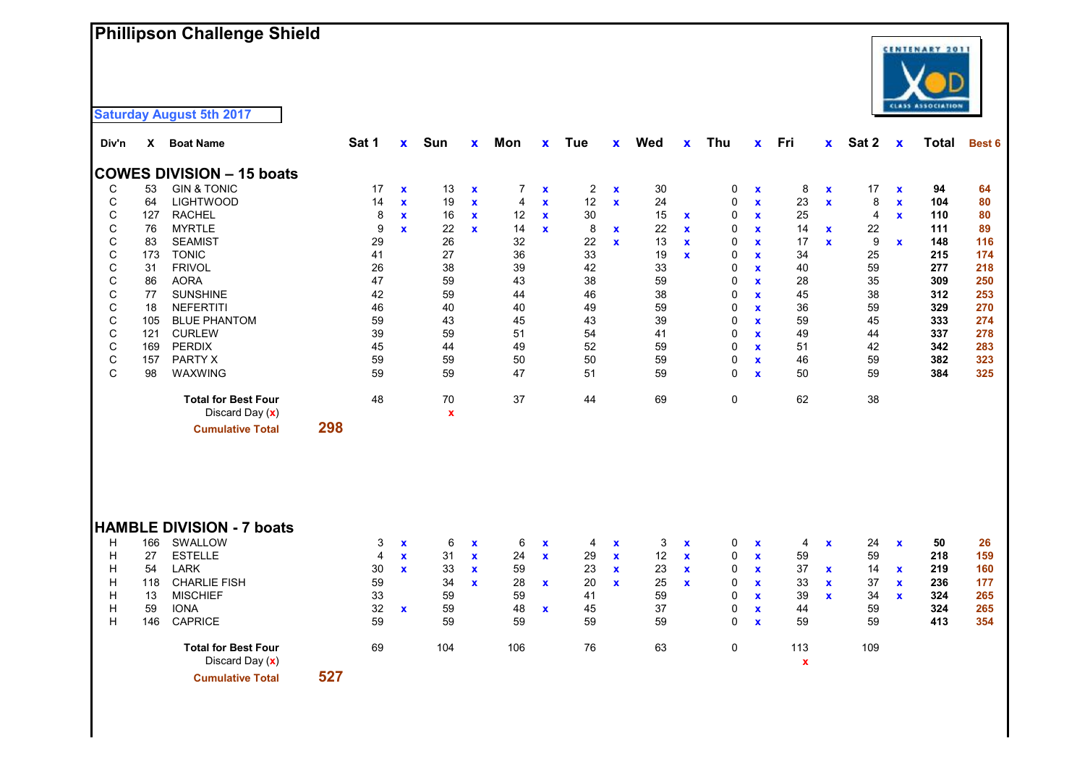# **Phillipson Challenge Shield**

| Div'n        | x   | <b>Boat Name</b>                 |     | Sat 1          | $\mathbf{x}$       | Sun         | X            | Mon            | X                  | Tue            | X            | Wed | $\mathbf x$ | Thu          | $\mathbf{x}$       | Fri                | $\mathbf{x}$ | Sat 2          | $\mathbf x$  | Total | <b>Best 6</b> |
|--------------|-----|----------------------------------|-----|----------------|--------------------|-------------|--------------|----------------|--------------------|----------------|--------------|-----|-------------|--------------|--------------------|--------------------|--------------|----------------|--------------|-------|---------------|
|              |     | <b>COWES DIVISION - 15 boats</b> |     |                |                    |             |              |                |                    |                |              |     |             |              |                    |                    |              |                |              |       |               |
| С            | 53  | <b>GIN &amp; TONIC</b>           |     | 17             | $\mathbf x$        | 13          | $\mathbf x$  | $\overline{7}$ | $\mathbf x$        | $\overline{c}$ | $\mathbf x$  | 30  |             | 0            | $\pmb{\mathsf{x}}$ | 8                  | $\mathbf x$  | 17             | $\mathbf x$  | 94    | 64            |
| C            | 64  | <b>LIGHTWOOD</b>                 |     | 14             | $\mathbf x$        | 19          | $\mathbf x$  | 4              | $\mathbf x$        | 12             | $\mathbf x$  | 24  |             | 0            | $\mathbf x$        | 23                 | $\mathbf x$  | 8              | $\pmb{\chi}$ | 104   | 80            |
| $\mathsf{C}$ | 127 | <b>RACHEL</b>                    |     | 8              | $\mathbf x$        | 16          | $\mathbf x$  | 12             | $\mathbf x$        | 30             |              | 15  | $\mathbf x$ | 0            | $\mathbf x$        | 25                 |              | $\overline{4}$ | $\mathbf{x}$ | 110   | 80            |
| $\mathsf C$  | 76  | <b>MYRTLE</b>                    |     | 9              | $\mathbf{x}$       | 22          | $\mathbf{x}$ | 14             | $\mathbf x$        | 8              | $\mathbf{x}$ | 22  | $\mathbf x$ | 0            | $\mathbf x$        | 14                 | $\mathbf x$  | 22             |              | 111   | 89            |
| C            | 83  | <b>SEAMIST</b>                   |     | 29             |                    | 26          |              | 32             |                    | 22             | $\mathbf{x}$ | 13  | $\mathbf x$ | 0            | $\pmb{\mathsf{x}}$ | 17                 | $\mathbf{x}$ | 9              | $\mathbf x$  | 148   | 116           |
| $\mathsf C$  | 173 | <b>TONIC</b>                     |     | 41             |                    | 27          |              | 36             |                    | 33             |              | 19  | $\mathbf x$ | 0            | $\mathbf x$        | 34                 |              | 25             |              | 215   | 174           |
| C            | 31  | <b>FRIVOL</b>                    |     | 26             |                    | 38          |              | 39             |                    | 42             |              | 33  |             | 0            | $\mathbf x$        | 40                 |              | 59             |              | 277   | 218           |
| С            | 86  | <b>AORA</b>                      |     | 47             |                    | 59          |              | 43             |                    | 38             |              | 59  |             | 0            | $\mathbf x$        | 28                 |              | 35             |              | 309   | 250           |
| $\mathsf C$  | 77  | <b>SUNSHINE</b>                  |     | 42             |                    | 59          |              | 44             |                    | 46             |              | 38  |             | 0            | $\mathbf{x}$       | 45                 |              | 38             |              | 312   | 253           |
| $\mathsf C$  | 18  | <b>NEFERTITI</b>                 |     | 46             |                    | 40          |              | 40             |                    | 49             |              | 59  |             | 0            | $\pmb{\mathsf{x}}$ | 36                 |              | 59             |              | 329   | 270           |
| C            | 105 | <b>BLUE PHANTOM</b>              |     | 59             |                    | 43          |              | 45             |                    | 43             |              | 39  |             | 0            | $\pmb{\mathsf{x}}$ | 59                 |              | 45             |              | 333   | 274           |
| $\mathsf{C}$ | 121 | <b>CURLEW</b>                    |     | 39             |                    | 59          |              | 51             |                    | 54             |              | 41  |             | $\mathbf{0}$ | $\mathbf x$        | 49                 |              | 44             |              | 337   | 278           |
| С            | 169 | <b>PERDIX</b>                    |     | 45             |                    | 44          |              | 49             |                    | 52             |              | 59  |             | 0            | $\mathbf x$        | 51                 |              | 42             |              | 342   | 283           |
| $\mathsf C$  | 157 | PARTY X                          |     | 59             |                    | 59          |              | 50             |                    | 50             |              | 59  |             | 0            | $\mathbf x$        | 46                 |              | 59             |              | 382   | 323           |
| C            | 98  | WAXWING                          |     | 59             |                    | 59          |              | 47             |                    | 51             |              | 59  |             | 0            | $\mathbf{x}$       | 50                 |              | 59             |              | 384   | 325           |
|              |     | <b>Total for Best Four</b>       |     | 48             |                    | 70          |              | 37             |                    | 44             |              | 69  |             | 0            |                    | 62                 |              | 38             |              |       |               |
|              |     | Discard Day (x)                  |     |                |                    | $\mathbf x$ |              |                |                    |                |              |     |             |              |                    |                    |              |                |              |       |               |
|              |     | <b>Cumulative Total</b>          | 298 |                |                    |             |              |                |                    |                |              |     |             |              |                    |                    |              |                |              |       |               |
|              |     |                                  |     |                |                    |             |              |                |                    |                |              |     |             |              |                    |                    |              |                |              |       |               |
|              |     |                                  |     |                |                    |             |              |                |                    |                |              |     |             |              |                    |                    |              |                |              |       |               |
|              |     |                                  |     |                |                    |             |              |                |                    |                |              |     |             |              |                    |                    |              |                |              |       |               |
|              |     | <b>HAMBLE DIVISION - 7 boats</b> |     |                |                    |             |              |                |                    |                |              |     |             |              |                    |                    |              |                |              |       |               |
| н            | 166 | SWALLOW                          |     | 3              | $\pmb{\mathsf{x}}$ | 6           | $\mathbf x$  | 6              | $\pmb{\mathsf{x}}$ | 4              | $\mathbf x$  | 3   | $\mathbf x$ | 0            | $\pmb{\mathsf{x}}$ | 4                  | $\mathbf x$  | 24             | $\mathbf x$  | 50    | 26            |
| H            | 27  | <b>ESTELLE</b>                   |     | $\overline{4}$ | $\mathbf x$        | 31          | $\mathbf x$  | 24             | $\mathbf x$        | 29             | $\mathbf{x}$ | 12  | $\mathbf x$ | 0            | $\mathbf x$        | 59                 |              | 59             |              | 218   | 159           |
| H            | 54  | <b>LARK</b>                      |     | 30             | $\mathbf{x}$       | 33          | $\mathbf{x}$ | 59             |                    | 23             | $\mathbf x$  | 23  | $\mathbf x$ | 0            | $\mathbf x$        | 37                 | $\mathbf{x}$ | 14             | $\mathbf x$  | 219   | 160           |
| H            | 118 | <b>CHARLIE FISH</b>              |     | 59             |                    | 34          | $\mathbf{x}$ | 28             | $\mathbf x$        | 20             | $\mathbf{x}$ | 25  | $\mathbf x$ | 0            | $\mathbf x$        | 33                 | $\mathbf x$  | 37             | $\mathbf x$  | 236   | 177           |
| H            | 13  | <b>MISCHIEF</b>                  |     | 33             |                    | 59          |              | 59             |                    | 41             |              | 59  |             | 0            | $\mathbf x$        | 39                 | $\mathbf{x}$ | 34             | $\mathbf{x}$ | 324   | 265           |
| H            | 59  | <b>IONA</b>                      |     | 32             | $\mathbf{x}$       | 59          |              | 48             | $\mathbf x$        | 45             |              | 37  |             | 0            | $\mathbf x$        | 44                 |              | 59             |              | 324   | 265           |
| H            | 146 | <b>CAPRICE</b>                   |     | 59             |                    | 59          |              | 59             |                    | 59             |              | 59  |             | 0            | $\mathbf{x}$       | 59                 |              | 59             |              | 413   | 354           |
|              |     | <b>Total for Best Four</b>       |     | 69             |                    | 104         |              | 106            |                    | 76             |              | 63  |             | 0            |                    | 113                |              | 109            |              |       |               |
|              |     | Discard Day (x)                  |     |                |                    |             |              |                |                    |                |              |     |             |              |                    | $\pmb{\mathsf{x}}$ |              |                |              |       |               |
|              |     | <b>Cumulative Total</b>          | 527 |                |                    |             |              |                |                    |                |              |     |             |              |                    |                    |              |                |              |       |               |

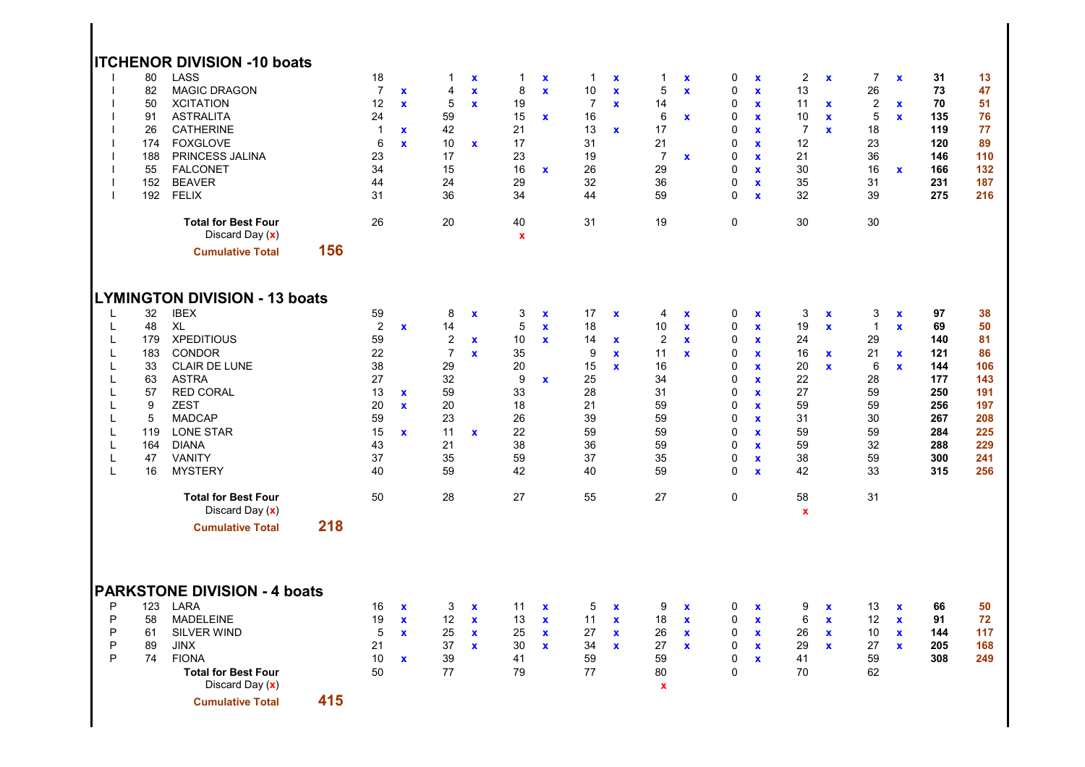|                                                               | 80<br>82<br>50<br>91<br>26<br>174<br>188<br>55<br>152<br>192                          | <b>ITCHENOR DIVISION -10 boats</b><br><b>LASS</b><br><b>MAGIC DRAGON</b><br><b>XCITATION</b><br><b>ASTRALITA</b><br><b>CATHERINE</b><br><b>FOXGLOVE</b><br>PRINCESS JALINA<br><b>FALCONET</b><br><b>BEAVER</b><br>FELIX<br><b>Total for Best Four</b><br>Discard Day (x)  |     | 18<br>$\overline{7}$<br>12<br>24<br>$\mathbf{1}$<br>$\,6$<br>23<br>34<br>44<br>31<br>26 | $\mathbf x$<br>$\mathbf{x}$<br>$\mathbf{x}$<br>$\mathbf{x}$  | $\mathbf 1$<br>4<br>5<br>59<br>42<br>10<br>17<br>15<br>24<br>36<br>20                         | $\boldsymbol{\mathsf{x}}$<br>$\pmb{\mathsf{x}}$<br>$\mathbf{x}$<br>$\mathbf x$ | $\mathbf{1}$<br>8<br>19<br>15<br>21<br>17<br>23<br>16<br>29<br>34<br>40<br>$\pmb{\mathsf{x}}$ | $\mathbf x$<br>$\mathbf x$<br>$\mathbf{x}$<br>$\mathbf{x}$  | $\mathbf{1}$<br>10<br>$\overline{7}$<br>16<br>13<br>31<br>19<br>26<br>32<br>44<br>31 | $\pmb{\chi}$<br>$\mathbf x$<br>$\mathbf{x}$<br>$\mathbf{x}$ | 1<br>5<br>14<br>6<br>17<br>21<br>$\overline{7}$<br>29<br>36<br>59<br>19               | $\mathbf x$<br>$\pmb{\mathsf{x}}$<br>$\pmb{\mathsf{x}}$<br>$\mathbf x$ | 0<br>0<br>$\mathbf 0$<br>$\mathbf 0$<br>$\mathbf 0$<br>0<br>$\mathbf 0$<br>0<br>$\pmb{0}$<br>$\mathbf 0$<br>$\mathsf{O}\xspace$                                 | $\mathbf{x}$<br>$\mathbf x$<br>$\mathbf{x}$<br>$\mathbf{x}$<br>$\mathbf{x}$<br>$\mathbf{x}$<br>$\mathbf{x}$<br>$\mathbf{x}$<br>$\pmb{\chi}$<br>$\mathbf{x}$                                               | $\overline{c}$<br>13<br>11<br>10<br>$\overline{7}$<br>12<br>21<br>30<br>35<br>32<br>30 | $\mathbf x$<br>$\mathbf x$<br>$\mathbf x$<br>$\mathbf{x}$       | $\overline{7}$<br>26<br>$\overline{c}$<br>5<br>18<br>23<br>36<br>16<br>31<br>39<br>30 | $\mathbf x$<br>$\mathbf x$<br>$\mathbf x$<br>$\mathbf{x}$       | 31<br>73<br>70<br>135<br>119<br>120<br>146<br>166<br>231<br>275                       | 13<br>47<br>51<br>76<br>77<br>89<br>110<br>132<br>187<br>216                        |
|---------------------------------------------------------------|---------------------------------------------------------------------------------------|---------------------------------------------------------------------------------------------------------------------------------------------------------------------------------------------------------------------------------------------------------------------------|-----|-----------------------------------------------------------------------------------------|--------------------------------------------------------------|-----------------------------------------------------------------------------------------------|--------------------------------------------------------------------------------|-----------------------------------------------------------------------------------------------|-------------------------------------------------------------|--------------------------------------------------------------------------------------|-------------------------------------------------------------|---------------------------------------------------------------------------------------|------------------------------------------------------------------------|-----------------------------------------------------------------------------------------------------------------------------------------------------------------|-----------------------------------------------------------------------------------------------------------------------------------------------------------------------------------------------------------|----------------------------------------------------------------------------------------|-----------------------------------------------------------------|---------------------------------------------------------------------------------------|-----------------------------------------------------------------|---------------------------------------------------------------------------------------|-------------------------------------------------------------------------------------|
|                                                               |                                                                                       | <b>Cumulative Total</b>                                                                                                                                                                                                                                                   | 156 |                                                                                         |                                                              |                                                                                               |                                                                                |                                                                                               |                                                             |                                                                                      |                                                             |                                                                                       |                                                                        |                                                                                                                                                                 |                                                                                                                                                                                                           |                                                                                        |                                                                 |                                                                                       |                                                                 |                                                                                       |                                                                                     |
| L<br>L<br>L<br>L<br>L<br>L<br>L<br>L<br>L<br>L<br>L<br>L<br>L | 32<br>48<br>179<br>183<br>33<br>63<br>57<br>9<br>$\sqrt{5}$<br>119<br>164<br>47<br>16 | <b>LYMINGTON DIVISION - 13 boats</b><br><b>IBEX</b><br><b>XL</b><br><b>XPEDITIOUS</b><br><b>CONDOR</b><br><b>CLAIR DE LUNE</b><br><b>ASTRA</b><br><b>RED CORAL</b><br><b>ZEST</b><br><b>MADCAP</b><br><b>LONE STAR</b><br><b>DIANA</b><br><b>VANITY</b><br><b>MYSTERY</b> |     | 59<br>$\overline{2}$<br>59<br>22<br>38<br>27<br>13<br>20<br>59<br>15<br>43<br>37<br>40  | $\mathbf{x}$<br>$\mathbf x$<br>$\mathbf{x}$<br>$\mathbf{x}$  | 8<br>14<br>$\sqrt{2}$<br>$\overline{7}$<br>29<br>32<br>59<br>20<br>23<br>11<br>21<br>35<br>59 | $\boldsymbol{\mathsf{x}}$<br>$\mathbf x$<br>$\mathbf{x}$<br>$\mathbf x$        | 3<br>5<br>10<br>35<br>20<br>9<br>33<br>18<br>26<br>22<br>38<br>59<br>42                       | $\mathbf x$<br>$\mathbf{x}$<br>$\mathbf x$<br>$\mathbf{x}$  | 17<br>18<br>14<br>9<br>15<br>25<br>28<br>21<br>39<br>59<br>36<br>37<br>40            | $\pmb{\chi}$<br>$\mathbf x$<br>$\mathbf{x}$<br>$\mathbf x$  | 4<br>10<br>$\overline{c}$<br>11<br>16<br>34<br>31<br>59<br>59<br>59<br>59<br>35<br>59 | $\pmb{\mathsf{x}}$<br>$\mathbf x$<br>$\mathbf x$<br>$\mathbf{x}$       | 0<br>$\mathsf{O}\xspace$<br>$\mathbf 0$<br>0<br>0<br>$\mathbf 0$<br>$\mathbf 0$<br>$\mathbf 0$<br>$\mathbf 0$<br>$\mathbf 0$<br>0<br>$\mathbf 0$<br>$\mathbf 0$ | $\mathbf x$<br>$\mathbf{x}$<br>$\mathbf x$<br>$\mathbf{x}$<br>$\mathbf x$<br>$\mathbf{x}$<br>$\mathbf{x}$<br>$\mathbf{x}$<br>$\mathbf{x}$<br>$\mathbf{x}$<br>$\mathbf{x}$<br>$\pmb{\chi}$<br>$\mathbf{x}$ | 3<br>19<br>24<br>16<br>20<br>22<br>27<br>59<br>31<br>59<br>59<br>38<br>42              | X<br>$\pmb{\chi}$<br>$\mathbf x$<br>$\mathbf x$                 | 3<br>$\mathbf{1}$<br>29<br>21<br>6<br>28<br>59<br>59<br>30<br>59<br>32<br>59<br>33    | $\mathbf x$<br>$\mathbf x$<br>$\mathbf x$<br>$\pmb{\mathsf{x}}$ | 97<br>69<br>140<br>121<br>144<br>177<br>250<br>256<br>267<br>284<br>288<br>300<br>315 | 38<br>50<br>81<br>86<br>106<br>143<br>191<br>197<br>208<br>225<br>229<br>241<br>256 |
|                                                               |                                                                                       | <b>Total for Best Four</b><br>Discard Day (x)                                                                                                                                                                                                                             |     | 50                                                                                      |                                                              | 28                                                                                            |                                                                                | 27                                                                                            |                                                             | 55                                                                                   |                                                             | 27                                                                                    |                                                                        | $\mathsf{O}\xspace$                                                                                                                                             |                                                                                                                                                                                                           | 58<br>$\pmb{\mathsf{x}}$                                                               |                                                                 | 31                                                                                    |                                                                 |                                                                                       |                                                                                     |
| P<br>P<br>P<br>P<br>P                                         | 123<br>58<br>61<br>89<br>74                                                           | <b>Cumulative Total</b><br><b>PARKSTONE DIVISION - 4 boats</b><br>LARA<br><b>MADELEINE</b><br><b>SILVER WIND</b><br><b>JINX</b><br><b>FIONA</b><br><b>Total for Best Four</b><br>Discard Day (x)                                                                          | 218 | 16<br>19<br>5<br>21<br>10<br>50                                                         | $\mathbf{x}$<br>$\mathbf{x}$<br>$\mathbf{x}$<br>$\mathbf{x}$ | 3<br>12<br>25<br>37<br>39<br>77                                                               | $\mathbf x$<br>$\mathbf x$<br>$\mathbf x$<br>$\mathbf x$                       | 11<br>13<br>25<br>30<br>41<br>79                                                              | $\mathbf x$<br>$\mathbf{x}$<br>$\mathbf{x}$<br>$\mathbf{x}$ | 5<br>11<br>27<br>34<br>59<br>77                                                      | $\mathbf x$<br>$\mathbf x$<br>$\mathbf x$<br>$\mathbf{x}$   | 9<br>18<br>26<br>27<br>59<br>80<br>$\boldsymbol{\mathsf{x}}$                          | $\pmb{\chi}$<br>$\mathbf x$<br>$\pmb{\mathsf{x}}$<br>$\mathbf x$       | 0<br>$\mathsf{O}\xspace$<br>0<br>0<br>$\mathbf 0$<br>$\mathbf 0$                                                                                                | $\mathbf x$<br>$\mathbf x$<br>$\mathbf{x}$<br>$\mathbf{x}$<br>$\mathbf{x}$                                                                                                                                | 9<br>6<br>26<br>29<br>41<br>70                                                         | $\mathbf x$<br>$\pmb{\mathsf{x}}$<br>$\mathbf x$<br>$\mathbf x$ | 13<br>12<br>10<br>27<br>59<br>62                                                      | $\mathbf x$<br>$\pmb{\chi}$<br>$\mathbf x$<br>$\mathbf x$       | 66<br>91<br>144<br>205<br>308                                                         | 50<br>72<br>117<br>168<br>249                                                       |
|                                                               |                                                                                       | <b>Cumulative Total</b>                                                                                                                                                                                                                                                   | 415 |                                                                                         |                                                              |                                                                                               |                                                                                |                                                                                               |                                                             |                                                                                      |                                                             |                                                                                       |                                                                        |                                                                                                                                                                 |                                                                                                                                                                                                           |                                                                                        |                                                                 |                                                                                       |                                                                 |                                                                                       |                                                                                     |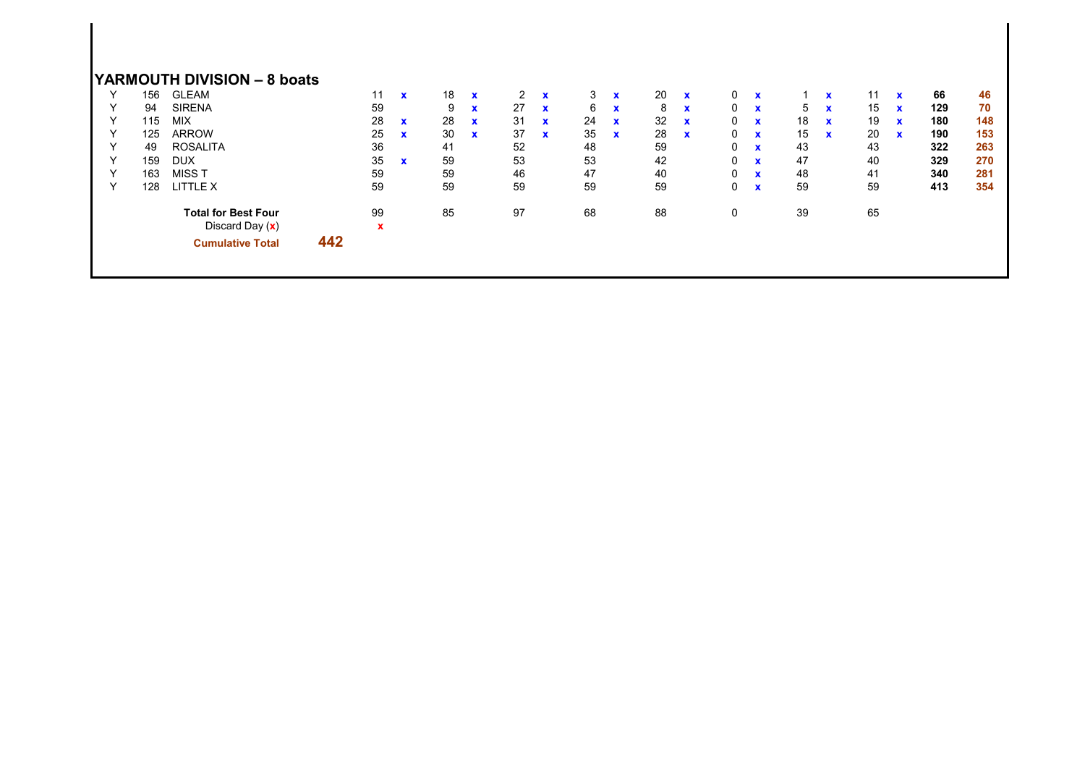|  |  |  |  | YARMOUTH DIVISION - 8 boats |  |
|--|--|--|--|-----------------------------|--|
|--|--|--|--|-----------------------------|--|

|   | 156 | <b>GLEAM</b>               |     | 11          | $\mathbf x$  | 18 | $\mathbf{x}$ |    | $\mathbf x$  | 3  | $\mathbf{x}$ | 20 | $\mathbf x$  |   | $\mathbf x$  |             |             | 11 |              | 66  | 46  |
|---|-----|----------------------------|-----|-------------|--------------|----|--------------|----|--------------|----|--------------|----|--------------|---|--------------|-------------|-------------|----|--------------|-----|-----|
|   | 94  | <b>SIRENA</b>              |     | 59          |              | 9  | X            | 27 | $\mathbf{x}$ | 6  | $\mathbf x$  | 8  | $\mathbf{x}$ | 0 | $\mathbf x$  | $5^{\circ}$ | $\mathbf x$ | 15 | $\mathbf{x}$ | 129 | 70  |
|   | 115 | <b>MIX</b>                 |     | 28          | $\mathbf{x}$ | 28 | $\mathbf{x}$ | 31 | $\mathbf{x}$ | 24 | $\mathbf x$  | 32 | $\mathbf x$  | 0 | $\mathbf x$  | 18          | X           | 19 | $\mathbf x$  | 180 | 148 |
|   | 125 | <b>ARROW</b>               |     | 25          | $\mathbf{x}$ | 30 | $\mathbf x$  | 37 | $\mathbf{x}$ | 35 | $\mathbf{x}$ | 28 | $\mathbf{x}$ | 0 | $\mathbf{x}$ | 15          | $\mathbf x$ | 20 | $\mathbf{x}$ | 190 | 153 |
|   | 49  | ROSALITA                   |     | 36          |              | 41 |              | 52 |              | 48 |              | 59 |              |   | $\mathbf{x}$ | 43          |             | 43 |              | 322 | 263 |
|   | 159 | <b>DUX</b>                 |     | 35          | $\mathbf{x}$ | 59 |              | 53 |              | 53 |              | 42 |              |   | $\mathbf{x}$ | 47          |             | 40 |              | 329 | 270 |
| v | 163 | MISS T                     |     | 59          |              | 59 |              | 46 |              | 47 |              | 40 |              | 0 | $\mathbf x$  | 48          |             | 41 |              | 340 | 281 |
|   | 128 | LITTLE X                   |     | 59          |              | 59 |              | 59 |              | 59 |              | 59 |              | 0 | $\mathbf x$  | 59          |             | 59 |              | 413 | 354 |
|   |     | <b>Total for Best Four</b> |     | 99          |              | 85 |              | 97 |              | 68 |              | 88 |              |   |              | 39          |             | 65 |              |     |     |
|   |     | Discard Day $(x)$          |     | $\mathbf x$ |              |    |              |    |              |    |              |    |              |   |              |             |             |    |              |     |     |
|   |     | <b>Cumulative Total</b>    | 442 |             |              |    |              |    |              |    |              |    |              |   |              |             |             |    |              |     |     |
|   |     |                            |     |             |              |    |              |    |              |    |              |    |              |   |              |             |             |    |              |     |     |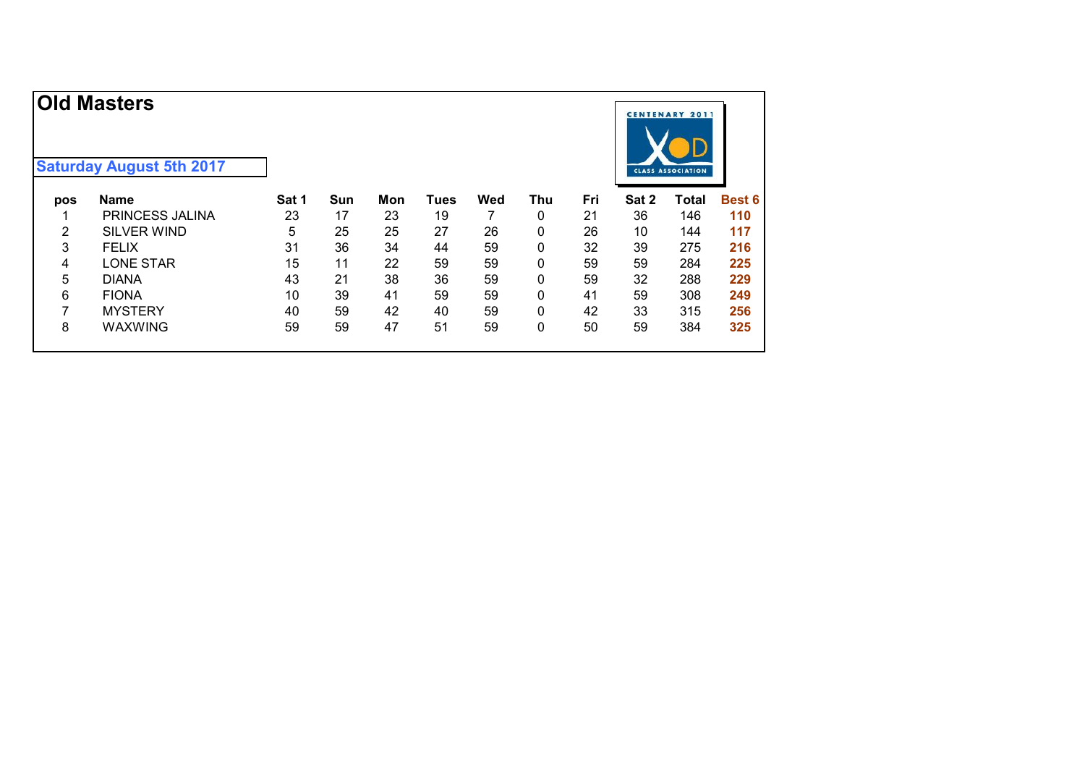|     | <b>Old Masters</b><br><b>Saturday August 5th 2017</b> |       |     |     |             |     |     |     |       | <b>CENTENARY 2011</b><br><b>CLASS ASSOCIATION</b> |               |
|-----|-------------------------------------------------------|-------|-----|-----|-------------|-----|-----|-----|-------|---------------------------------------------------|---------------|
| pos | <b>Name</b>                                           | Sat 1 | Sun | Mon | <b>Tues</b> | Wed | Thu | Fri | Sat 2 | Total                                             | <b>Best 6</b> |
|     | <b>PRINCESS JALINA</b>                                | 23    | 17  | 23  | 19          |     | 0   | 21  | 36    | 146                                               | 110           |
| 2   | <b>SILVER WIND</b>                                    | 5     | 25  | 25  | 27          | 26  | 0   | 26  | 10    | 144                                               | 117           |
| 3   | <b>FELIX</b>                                          | 31    | 36  | 34  | 44          | 59  | 0   | 32  | 39    | 275                                               | 216           |
| 4   | <b>LONE STAR</b>                                      | 15    | 11  | 22  | 59          | 59  | 0   | 59  | 59    | 284                                               | 225           |
| 5   | <b>DIANA</b>                                          | 43    | 21  | 38  | 36          | 59  | 0   | 59  | 32    | 288                                               | 229           |
| 6   | <b>FIONA</b>                                          | 10    | 39  | 41  | 59          | 59  | 0   | 41  | 59    | 308                                               | 249           |
| 7   | <b>MYSTERY</b>                                        | 40    | 59  | 42  | 40          | 59  | 0   | 42  | 33    | 315                                               | 256           |
| 8   | <b>WAXWING</b>                                        | 59    | 59  | 47  | 51          | 59  | 0   | 50  | 59    | 384                                               | 325           |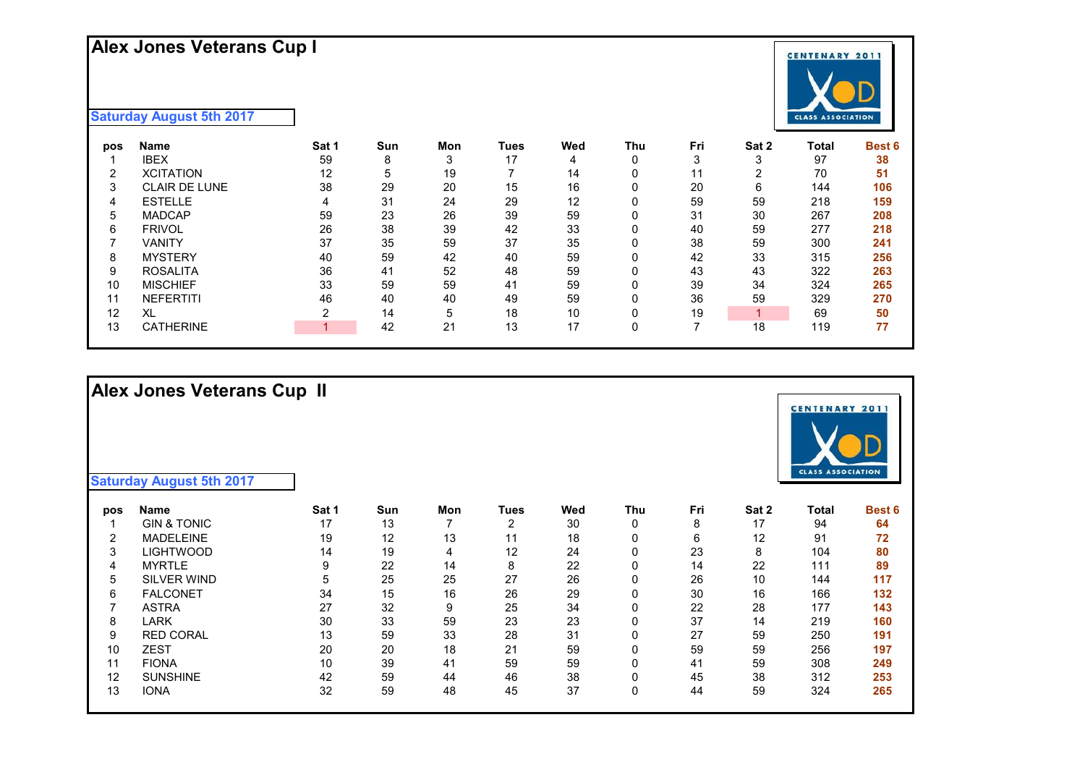## **Alex Jones Veterans Cup I**

### **Saturday August 5th 2017**

| pos | Name                 | Sat 1 | Sun | Mon | Tues | Wed | <b>Thu</b> | Fri | Sat 2 | Total | <b>Best 6</b> |
|-----|----------------------|-------|-----|-----|------|-----|------------|-----|-------|-------|---------------|
|     | <b>IBEX</b>          | 59    | 8   | 3   | 17   | 4   | 0          | 3   | 3     | 97    | 38            |
| 2   | <b>XCITATION</b>     | 12    | 5   | 19  |      | 14  |            | 11  | ົ     | 70    | 51            |
| 3   | <b>CLAIR DE LUNE</b> | 38    | 29  | 20  | 15   | 16  |            | 20  | 6     | 144   | 106           |
| 4   | <b>ESTELLE</b>       | 4     | 31  | 24  | 29   | 12  |            | 59  | 59    | 218   | 159           |
| 5   | <b>MADCAP</b>        | 59    | 23  | 26  | 39   | 59  |            | 31  | 30    | 267   | 208           |
| 6   | <b>FRIVOL</b>        | 26    | 38  | 39  | 42   | 33  |            | 40  | 59    | 277   | 218           |
|     | VANITY               | 37    | 35  | 59  | 37   | 35  |            | 38  | 59    | 300   | 241           |
| 8   | <b>MYSTERY</b>       | 40    | 59  | 42  | 40   | 59  |            | 42  | 33    | 315   | 256           |
| 9   | <b>ROSALITA</b>      | 36    | 41  | 52  | 48   | 59  |            | 43  | 43    | 322   | 263           |
| 10  | <b>MISCHIEF</b>      | 33    | 59  | 59  | 41   | 59  |            | 39  | 34    | 324   | 265           |
| 11  | <b>NEFERTITI</b>     | 46    | 40  | 40  | 49   | 59  |            | 36  | 59    | 329   | 270           |
| 12  | XL                   |       | 14  | 5   | 18   | 10  | 0          | 19  |       | 69    | 50            |
| 13  | <b>CATHERINE</b>     |       | 42  | 21  | 13   | 17  | 0          |     | 18    | 119   | 77            |

**Saturday August 5th 2017**

**Alex Jones Veterans Cup II**

| pos | Name                   | Sat 1 | Sun | Mon | Tues | Wed | Thu | Fri | Sat 2 | Total | <b>Best 6</b> |
|-----|------------------------|-------|-----|-----|------|-----|-----|-----|-------|-------|---------------|
|     | <b>GIN &amp; TONIC</b> | 17    | 13  |     | ົ    | 30  | 0   | 8   | 17    | 94    | 64            |
| 2   | <b>MADELEINE</b>       | 19    | 12  | 13  | 11   | 18  | 0   | 6   | 12    | 91    | 72            |
| 3   | LIGHTWOOD              | 14    | 19  | 4   | 12   | 24  | 0   | 23  | 8     | 104   | 80            |
| 4   | <b>MYRTLE</b>          | 9     | 22  | 14  | 8    | 22  | 0   | 14  | 22    | 111   | 89            |
| 5   | <b>SILVER WIND</b>     | 5     | 25  | 25  | 27   | 26  | 0   | 26  | 10    | 144   | 117           |
| 6   | <b>FALCONET</b>        | 34    | 15  | 16  | 26   | 29  | 0   | 30  | 16    | 166   | 132           |
|     | <b>ASTRA</b>           | 27    | 32  | 9   | 25   | 34  | 0   | 22  | 28    | 177   | 143           |
| 8   | LARK                   | 30    | 33  | 59  | 23   | 23  | 0   | 37  | 14    | 219   | 160           |
| 9   | <b>RED CORAL</b>       | 13    | 59  | 33  | 28   | 31  | 0   | 27  | 59    | 250   | 191           |
| 10  | <b>ZEST</b>            | 20    | 20  | 18  | 21   | 59  | 0   | 59  | 59    | 256   | 197           |
| 11  | <b>FIONA</b>           | 10    | 39  | 41  | 59   | 59  | 0   | 41  | 59    | 308   | 249           |
| 12  | <b>SUNSHINE</b>        | 42    | 59  | 44  | 46   | 38  | 0   | 45  | 38    | 312   | 253           |
| 13  | <b>IONA</b>            | 32    | 59  | 48  | 45   | 37  | 0   | 44  | 59    | 324   | 265           |



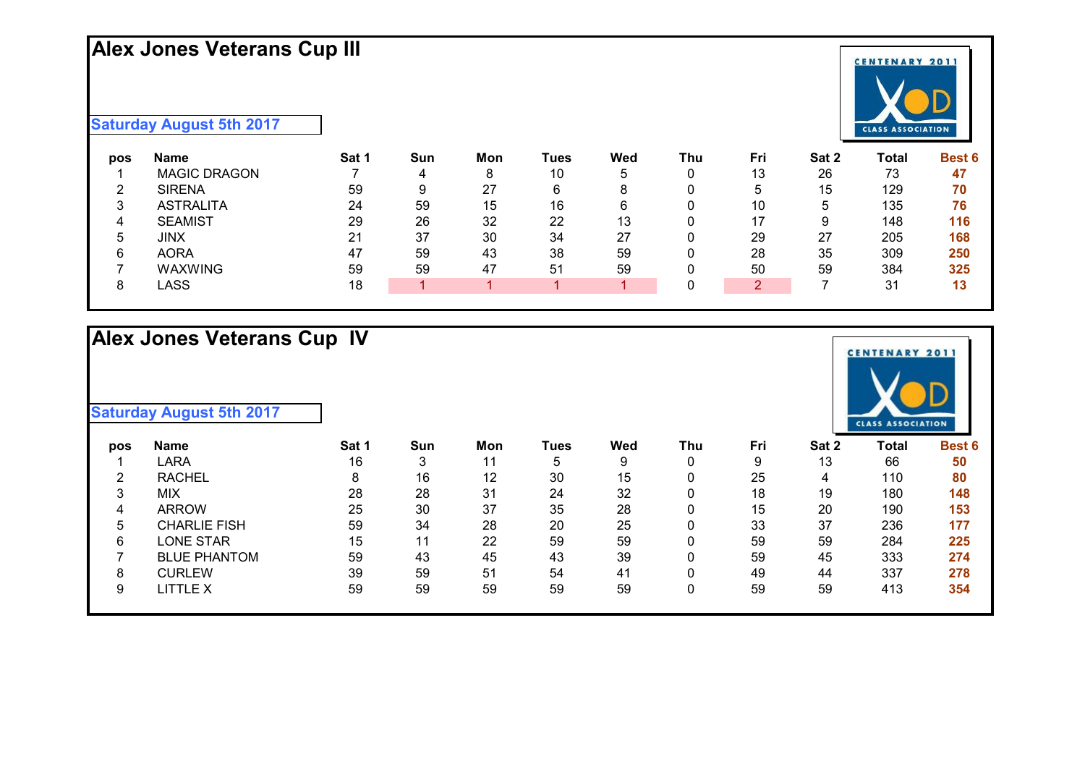## **Alex Jones Veterans Cup III**



| pos    | Name                | Sat 1 | Sun | Mon | Tues | Wed | Thu | Fri    | Sat 2 | Total          | <b>Best 6</b> |
|--------|---------------------|-------|-----|-----|------|-----|-----|--------|-------|----------------|---------------|
|        | <b>MAGIC DRAGON</b> |       |     | 8   | 10   | 5   |     | 13     | 26    | 73             | 47            |
| c      | <b>SIRENA</b>       | 59    |     | 27  | 6    | 8   |     | G      | 15    | 129            | 70            |
| 2<br>ບ | <b>ASTRALITA</b>    | 24    | 59  | 15  | 16   | 6   |     | 10     | 5     | 135            | 76            |
| 4      | <b>SEAMIST</b>      | 29    | 26  | 32  | 22   | 13  |     | 17     | 9     | 148            | 116           |
| 5.     | JINX                | 21    | 37  | 30  | 34   | 27  |     | 29     | 27    | 205            | 168           |
| 6      | <b>AORA</b>         | 47    | 59  | 43  | 38   | 59  |     | 28     | 35    | 309            | 250           |
|        | WAXWING             | 59    | 59  | 47  | 51   | 59  |     | 50     | 59    | 384            | 325           |
|        | LASS                | 18    |     |     |      |     |     | റ<br>৴ |       | 3 <sup>1</sup> | 13            |

# **Alex Jones Veterans Cup IV**

| pos | Name                | Sat 1 | Sun    | Mon | Tues | Wed | Thu | Fri | Sat 2 | Total | <b>Best 6</b> |
|-----|---------------------|-------|--------|-----|------|-----|-----|-----|-------|-------|---------------|
|     | LARA                | 16    | ົ<br>J | 11  | 5    | 9   |     | 9   | 13    | 66    | 50            |
| റ   | <b>RACHEL</b>       | 8     | 16     | 12  | 30   | 15  |     | 25  | 4     | 110   | 80            |
| 3   | <b>MIX</b>          | 28    | 28     | 31  | 24   | 32  |     | 18  | 19    | 180   | 148           |
| 4   | <b>ARROW</b>        | 25    | 30     | 37  | 35   | 28  |     | 15  | 20    | 190   | 153           |
| 5   | CHARLIE FISH        | 59    | 34     | 28  | 20   | 25  |     | 33  | 37    | 236   | 177           |
| 6   | LONE STAR           | 15    | 11     | 22  | 59   | 59  |     | 59  | 59    | 284   | 225           |
|     | <b>BLUE PHANTOM</b> | 59    | 43     | 45  | 43   | 39  |     | 59  | 45    | 333   | 274           |
| 8   | <b>CURLEW</b>       | 39    | 59     | 51  | 54   | 41  |     | 49  | 44    | 337   | 278           |
| 9   | LITTLE X            | 59    | 59     | 59  | 59   | 59  |     | 59  | 59    | 413   | 354           |
|     |                     |       |        |     |      |     |     |     |       |       |               |



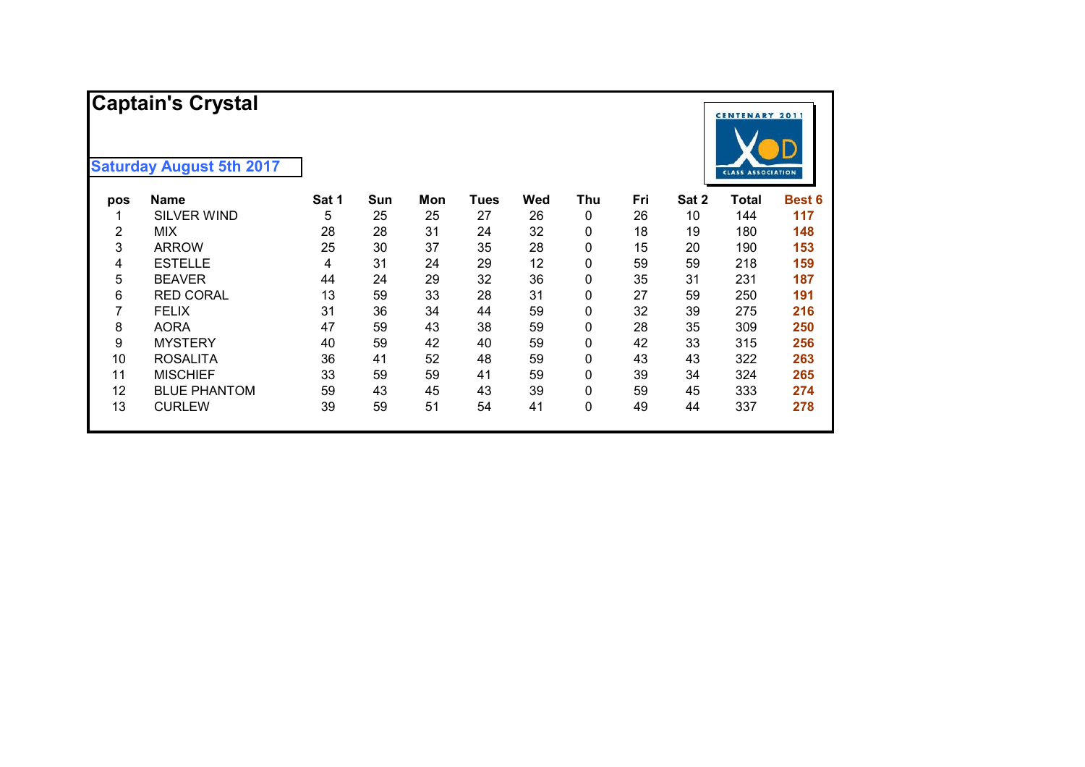|     | <b>Captain's Crystal</b><br><b>Saturday August 5th 2017</b> |       |     |     |      |     |              |     |       | <b>CENTENARY 2011</b>    |               |
|-----|-------------------------------------------------------------|-------|-----|-----|------|-----|--------------|-----|-------|--------------------------|---------------|
|     |                                                             |       |     |     |      |     |              |     |       | <b>CLASS ASSOCIATION</b> |               |
| pos | <b>Name</b>                                                 | Sat 1 | Sun | Mon | Tues | Wed | Thu          | Fri | Sat 2 | <b>Total</b>             | <b>Best 6</b> |
| 1   | <b>SILVER WIND</b>                                          | 5     | 25  | 25  | 27   | 26  | 0            | 26  | 10    | 144                      | 117           |
| 2   | <b>MIX</b>                                                  | 28    | 28  | 31  | 24   | 32  | $\mathbf{0}$ | 18  | 19    | 180                      | 148           |
| 3   | <b>ARROW</b>                                                | 25    | 30  | 37  | 35   | 28  | 0            | 15  | 20    | 190                      | 153           |
| 4   | <b>ESTELLE</b>                                              | 4     | 31  | 24  | 29   | 12  | 0            | 59  | 59    | 218                      | 159           |
| 5   | <b>BEAVER</b>                                               | 44    | 24  | 29  | 32   | 36  | 0            | 35  | 31    | 231                      | 187           |
| 6   | <b>RED CORAL</b>                                            | 13    | 59  | 33  | 28   | 31  | 0            | 27  | 59    | 250                      | 191           |
| 7   | <b>FELIX</b>                                                | 31    | 36  | 34  | 44   | 59  | 0            | 32  | 39    | 275                      | 216           |
| 8   | <b>AORA</b>                                                 | 47    | 59  | 43  | 38   | 59  | 0            | 28  | 35    | 309                      | 250           |
| 9   | <b>MYSTERY</b>                                              | 40    | 59  | 42  | 40   | 59  | 0            | 42  | 33    | 315                      | 256           |
| 10  | <b>ROSALITA</b>                                             | 36    | 41  | 52  | 48   | 59  | 0            | 43  | 43    | 322                      | 263           |
| 11  | <b>MISCHIEF</b>                                             | 33    | 59  | 59  | 41   | 59  | 0            | 39  | 34    | 324                      | 265           |
| 12  | <b>BLUE PHANTOM</b>                                         | 59    | 43  | 45  | 43   | 39  | 0            | 59  | 45    | 333                      | 274           |
| 13  | <b>CURLEW</b>                                               | 39    | 59  | 51  | 54   | 41  | 0            | 49  | 44    | 337                      | 278           |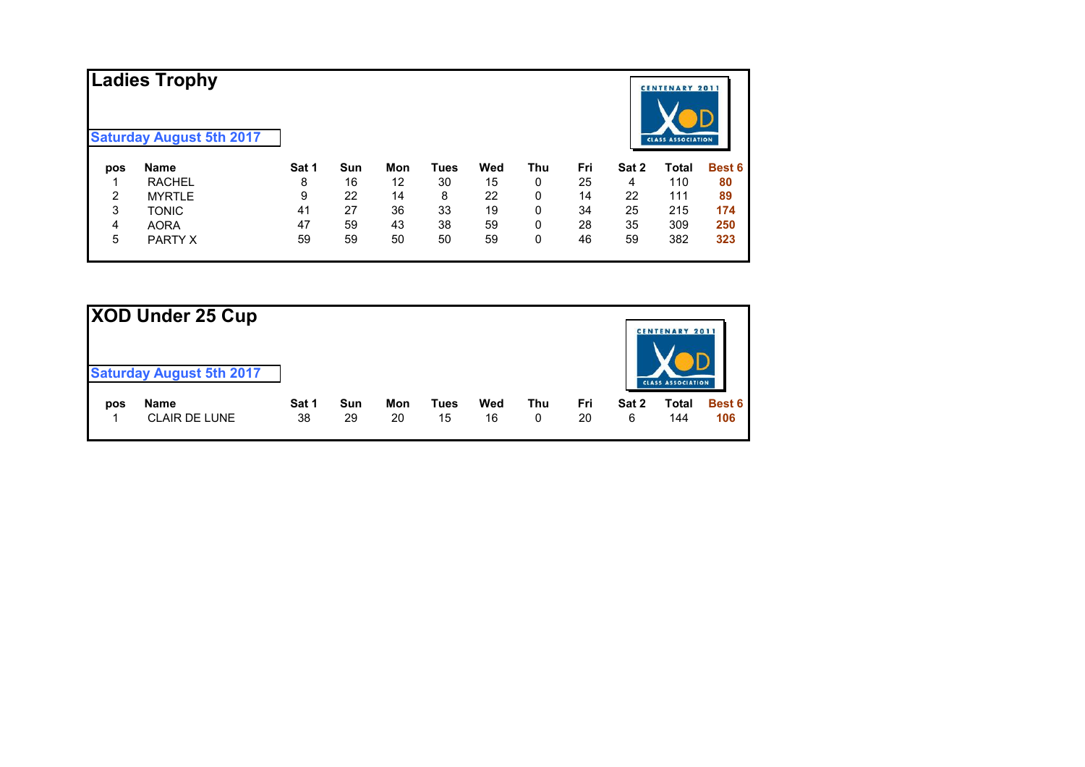|     | <b>Ladies Trophy</b><br><b>Saturday August 5th 2017</b> |       |     |     |      |     |     |     |       | <b>CENTENARY 2011</b><br><b>CLASS ASSOCIATION</b> |               |
|-----|---------------------------------------------------------|-------|-----|-----|------|-----|-----|-----|-------|---------------------------------------------------|---------------|
| pos | <b>Name</b>                                             | Sat 1 | Sun | Mon | Tues | Wed | Thu | Fri | Sat 2 | Total                                             | <b>Best 6</b> |
|     | <b>RACHEL</b>                                           | 8     | 16  | 12  | 30   | 15  | 0   | 25  | 4     | 110                                               | 80            |
| 2   | <b>MYRTLE</b>                                           | 9     | 22  | 14  | 8    | 22  | 0   | 14  | 22    | 111                                               | 89            |
| 3   | <b>TONIC</b>                                            | 41    | 27  | 36  | 33   | 19  | 0   | 34  | 25    | 215                                               | 174           |
| 4   | <b>AORA</b>                                             | 47    | 59  | 43  | 38   | 59  | 0   | 28  | 35    | 309                                               | 250           |
| 5   | PARTY X                                                 | 59    | 59  | 50  | 50   | 59  | 0   | 46  | 59    | 382                                               | 323           |

| XOD Under 25 Cup |                                 |       |     |     |             |     |     |     |       |                                                   |               |
|------------------|---------------------------------|-------|-----|-----|-------------|-----|-----|-----|-------|---------------------------------------------------|---------------|
|                  | <b>Saturday August 5th 2017</b> |       |     |     |             |     |     |     |       | <b>CENTENARY 2011</b><br><b>CLASS ASSOCIATION</b> |               |
| pos              | <b>Name</b>                     | Sat 1 | Sun | Mon | <b>Tues</b> | Wed | Thu | Fri | Sat 2 | Total                                             | <b>Best 6</b> |
|                  | <b>CLAIR DE LUNE</b>            | 38    | 29  | 20  | 15          | 16  | 0   | 20  | 6     | 144                                               | 106           |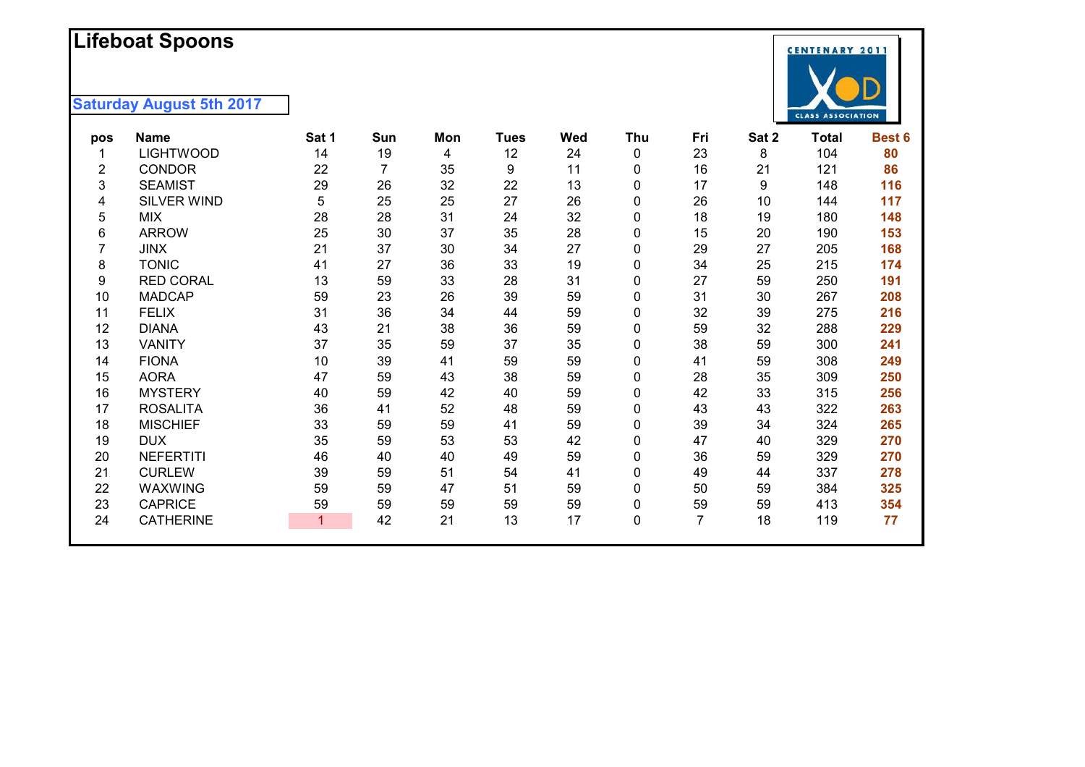## **L i f ebo a t Spoons**

| 12<br>23<br><b>LIGHTWOOD</b><br>14<br>19<br>24<br>0<br>4<br>7<br>35<br>9<br>16<br><b>CONDOR</b><br>22<br>11<br>2<br>0<br>22<br>3<br>26<br>32<br>17<br><b>SEAMIST</b><br>29<br>13<br>0<br>5<br>25<br>25<br>27<br>SILVER WIND<br>26<br>$\mathbf{0}$<br>26<br>4<br>28<br>31<br>32<br>18<br>5<br>28<br>24<br>$\mathbf{0}$<br><b>MIX</b><br>30<br>28<br>25<br>37<br>35<br>15<br>6<br><b>ARROW</b><br>$\mathbf{0}$<br>21<br>27<br>37<br><b>JINX</b><br>30<br>34<br>$\mathbf{0}$<br>29<br><b>TONIC</b><br>27<br>36<br>33<br>19<br>34<br>8<br>41<br>0<br><b>RED CORAL</b><br>13<br>59<br>33<br>31<br>27<br>9<br>28<br>0<br>10<br><b>MADCAP</b><br>23<br>26<br>39<br>59<br>31<br>59<br>$\mathbf{0}$<br>36<br>34<br>59<br>32<br><b>FELIX</b><br>31<br>44<br>$\mathbf{0}$<br>11<br>21<br>38<br>36<br>59<br>12<br><b>DIANA</b><br>43<br>59<br>$\mathbf{0}$<br>35<br>13<br>37<br>59<br>37<br>35<br>38<br><b>VANITY</b><br>0<br>39<br>59<br>14<br><b>FIONA</b><br>10<br>41<br>59<br>0<br>41<br>15<br><b>AORA</b><br>47<br>59<br>59<br>43<br>38<br>0<br>28<br>16<br><b>MYSTERY</b><br>59<br>42<br>59<br>$\mathbf{0}$<br>42<br>40<br>40<br>52<br>17<br><b>ROSALITA</b><br>36<br>41<br>48<br>59<br>$\mathbf{0}$<br>43<br>59<br>33<br>59<br>59<br>41<br>39<br>18<br><b>MISCHIEF</b><br>$\mathbf{0}$<br>19<br><b>DUX</b><br>35<br>59<br>53<br>53<br>42<br>47<br>$\mathbf{0}$<br><b>NEFERTITI</b><br>59<br>20<br>40<br>40<br>49<br>0<br>36<br>46<br><b>CURLEW</b><br>41<br>21<br>39<br>59<br>51<br>54<br>49<br>0<br>22<br>WAXWING<br>59<br>47<br>51<br>59<br>0<br>59<br>50<br>23<br><b>CAPRICE</b><br>59<br>59<br>59<br>59<br>59<br>$\mathbf{0}$<br>59 | pos | <b>Name</b> | Sat 1 | Sun | Mon | <b>Tues</b> | Wed | Thu | Fri | Sat 2 | <b>Total</b> | Best 6 |
|------------------------------------------------------------------------------------------------------------------------------------------------------------------------------------------------------------------------------------------------------------------------------------------------------------------------------------------------------------------------------------------------------------------------------------------------------------------------------------------------------------------------------------------------------------------------------------------------------------------------------------------------------------------------------------------------------------------------------------------------------------------------------------------------------------------------------------------------------------------------------------------------------------------------------------------------------------------------------------------------------------------------------------------------------------------------------------------------------------------------------------------------------------------------------------------------------------------------------------------------------------------------------------------------------------------------------------------------------------------------------------------------------------------------------------------------------------------------------------------------------------------------------------------------------------------------------------------------------------------------------------|-----|-------------|-------|-----|-----|-------------|-----|-----|-----|-------|--------------|--------|
|                                                                                                                                                                                                                                                                                                                                                                                                                                                                                                                                                                                                                                                                                                                                                                                                                                                                                                                                                                                                                                                                                                                                                                                                                                                                                                                                                                                                                                                                                                                                                                                                                                    |     |             |       |     |     |             |     |     |     | 8     | 104          | 80     |
|                                                                                                                                                                                                                                                                                                                                                                                                                                                                                                                                                                                                                                                                                                                                                                                                                                                                                                                                                                                                                                                                                                                                                                                                                                                                                                                                                                                                                                                                                                                                                                                                                                    |     |             |       |     |     |             |     |     |     | 21    | 121          | 86     |
|                                                                                                                                                                                                                                                                                                                                                                                                                                                                                                                                                                                                                                                                                                                                                                                                                                                                                                                                                                                                                                                                                                                                                                                                                                                                                                                                                                                                                                                                                                                                                                                                                                    |     |             |       |     |     |             |     |     |     | 9     | 148          | 116    |
|                                                                                                                                                                                                                                                                                                                                                                                                                                                                                                                                                                                                                                                                                                                                                                                                                                                                                                                                                                                                                                                                                                                                                                                                                                                                                                                                                                                                                                                                                                                                                                                                                                    |     |             |       |     |     |             |     |     |     | 10    | 144          | 117    |
|                                                                                                                                                                                                                                                                                                                                                                                                                                                                                                                                                                                                                                                                                                                                                                                                                                                                                                                                                                                                                                                                                                                                                                                                                                                                                                                                                                                                                                                                                                                                                                                                                                    |     |             |       |     |     |             |     |     |     | 19    | 180          | 148    |
|                                                                                                                                                                                                                                                                                                                                                                                                                                                                                                                                                                                                                                                                                                                                                                                                                                                                                                                                                                                                                                                                                                                                                                                                                                                                                                                                                                                                                                                                                                                                                                                                                                    |     |             |       |     |     |             |     |     |     | 20    | 190          | 153    |
|                                                                                                                                                                                                                                                                                                                                                                                                                                                                                                                                                                                                                                                                                                                                                                                                                                                                                                                                                                                                                                                                                                                                                                                                                                                                                                                                                                                                                                                                                                                                                                                                                                    |     |             |       |     |     |             |     |     |     | 27    | 205          | 168    |
|                                                                                                                                                                                                                                                                                                                                                                                                                                                                                                                                                                                                                                                                                                                                                                                                                                                                                                                                                                                                                                                                                                                                                                                                                                                                                                                                                                                                                                                                                                                                                                                                                                    |     |             |       |     |     |             |     |     |     | 25    | 215          | 174    |
|                                                                                                                                                                                                                                                                                                                                                                                                                                                                                                                                                                                                                                                                                                                                                                                                                                                                                                                                                                                                                                                                                                                                                                                                                                                                                                                                                                                                                                                                                                                                                                                                                                    |     |             |       |     |     |             |     |     |     | 59    | 250          | 191    |
|                                                                                                                                                                                                                                                                                                                                                                                                                                                                                                                                                                                                                                                                                                                                                                                                                                                                                                                                                                                                                                                                                                                                                                                                                                                                                                                                                                                                                                                                                                                                                                                                                                    |     |             |       |     |     |             |     |     |     | 30    | 267          | 208    |
|                                                                                                                                                                                                                                                                                                                                                                                                                                                                                                                                                                                                                                                                                                                                                                                                                                                                                                                                                                                                                                                                                                                                                                                                                                                                                                                                                                                                                                                                                                                                                                                                                                    |     |             |       |     |     |             |     |     |     | 39    | 275          | 216    |
|                                                                                                                                                                                                                                                                                                                                                                                                                                                                                                                                                                                                                                                                                                                                                                                                                                                                                                                                                                                                                                                                                                                                                                                                                                                                                                                                                                                                                                                                                                                                                                                                                                    |     |             |       |     |     |             |     |     |     | 32    | 288          | 229    |
|                                                                                                                                                                                                                                                                                                                                                                                                                                                                                                                                                                                                                                                                                                                                                                                                                                                                                                                                                                                                                                                                                                                                                                                                                                                                                                                                                                                                                                                                                                                                                                                                                                    |     |             |       |     |     |             |     |     |     | 59    | 300          | 241    |
|                                                                                                                                                                                                                                                                                                                                                                                                                                                                                                                                                                                                                                                                                                                                                                                                                                                                                                                                                                                                                                                                                                                                                                                                                                                                                                                                                                                                                                                                                                                                                                                                                                    |     |             |       |     |     |             |     |     |     | 59    | 308          | 249    |
|                                                                                                                                                                                                                                                                                                                                                                                                                                                                                                                                                                                                                                                                                                                                                                                                                                                                                                                                                                                                                                                                                                                                                                                                                                                                                                                                                                                                                                                                                                                                                                                                                                    |     |             |       |     |     |             |     |     |     | 35    | 309          | 250    |
|                                                                                                                                                                                                                                                                                                                                                                                                                                                                                                                                                                                                                                                                                                                                                                                                                                                                                                                                                                                                                                                                                                                                                                                                                                                                                                                                                                                                                                                                                                                                                                                                                                    |     |             |       |     |     |             |     |     |     | 33    | 315          | 256    |
|                                                                                                                                                                                                                                                                                                                                                                                                                                                                                                                                                                                                                                                                                                                                                                                                                                                                                                                                                                                                                                                                                                                                                                                                                                                                                                                                                                                                                                                                                                                                                                                                                                    |     |             |       |     |     |             |     |     |     | 43    | 322          | 263    |
|                                                                                                                                                                                                                                                                                                                                                                                                                                                                                                                                                                                                                                                                                                                                                                                                                                                                                                                                                                                                                                                                                                                                                                                                                                                                                                                                                                                                                                                                                                                                                                                                                                    |     |             |       |     |     |             |     |     |     | 34    | 324          | 265    |
|                                                                                                                                                                                                                                                                                                                                                                                                                                                                                                                                                                                                                                                                                                                                                                                                                                                                                                                                                                                                                                                                                                                                                                                                                                                                                                                                                                                                                                                                                                                                                                                                                                    |     |             |       |     |     |             |     |     |     | 40    | 329          | 270    |
|                                                                                                                                                                                                                                                                                                                                                                                                                                                                                                                                                                                                                                                                                                                                                                                                                                                                                                                                                                                                                                                                                                                                                                                                                                                                                                                                                                                                                                                                                                                                                                                                                                    |     |             |       |     |     |             |     |     |     | 59    | 329          | 270    |
|                                                                                                                                                                                                                                                                                                                                                                                                                                                                                                                                                                                                                                                                                                                                                                                                                                                                                                                                                                                                                                                                                                                                                                                                                                                                                                                                                                                                                                                                                                                                                                                                                                    |     |             |       |     |     |             |     |     |     | 44    | 337          | 278    |
|                                                                                                                                                                                                                                                                                                                                                                                                                                                                                                                                                                                                                                                                                                                                                                                                                                                                                                                                                                                                                                                                                                                                                                                                                                                                                                                                                                                                                                                                                                                                                                                                                                    |     |             |       |     |     |             |     |     |     | 59    | 384          | 325    |
|                                                                                                                                                                                                                                                                                                                                                                                                                                                                                                                                                                                                                                                                                                                                                                                                                                                                                                                                                                                                                                                                                                                                                                                                                                                                                                                                                                                                                                                                                                                                                                                                                                    |     |             |       |     |     |             |     |     |     | 59    | 413          | 354    |
| $\overline{7}$<br>21<br>13<br>17<br>24<br><b>CATHERINE</b><br>$\mathbf{1}$<br>42<br>0                                                                                                                                                                                                                                                                                                                                                                                                                                                                                                                                                                                                                                                                                                                                                                                                                                                                                                                                                                                                                                                                                                                                                                                                                                                                                                                                                                                                                                                                                                                                              |     |             |       |     |     |             |     |     |     | 18    | 119          | 77     |

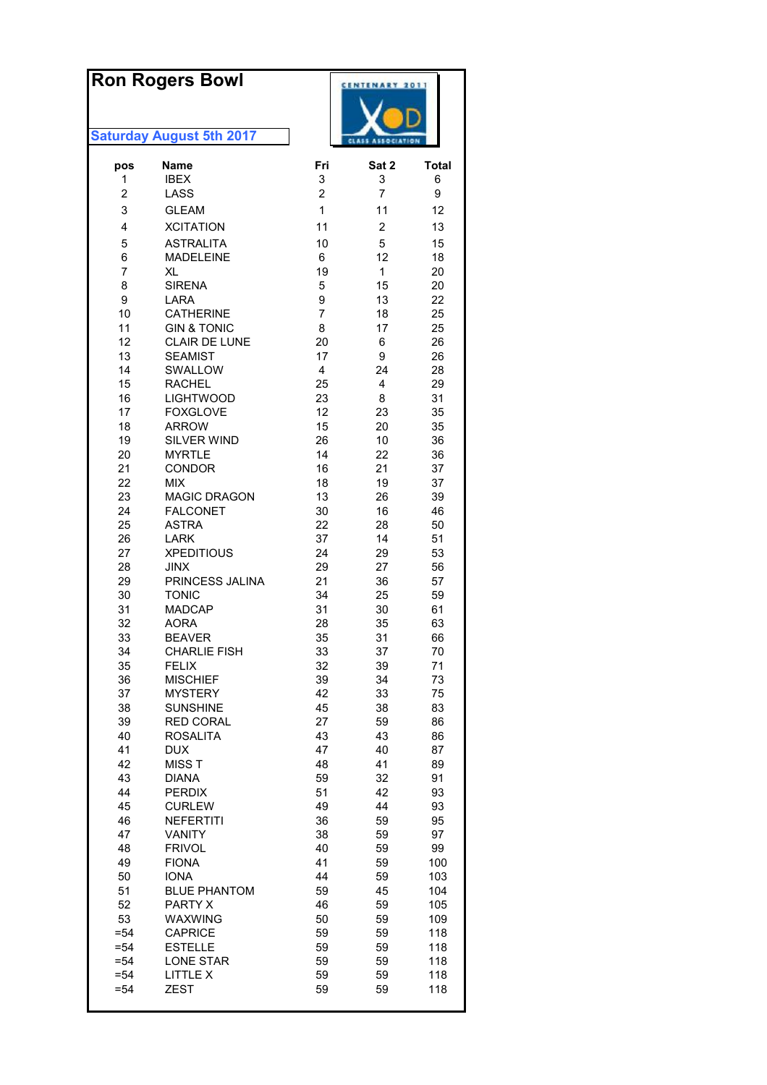# **Ron Rogers Bowl**



| pos            | Name                          | Fri            | Sat 2                   | <b>Total</b> |
|----------------|-------------------------------|----------------|-------------------------|--------------|
| 1              | <b>IBEX</b>                   | 3              | 3                       | 6            |
| $\overline{c}$ | LASS                          | $\overline{c}$ | $\overline{7}$          | 9            |
| 3              | <b>GLEAM</b>                  | $\mathbf 1$    | 11                      | 12           |
| 4              | <b>XCITATION</b>              | 11             | $\overline{\mathbf{c}}$ | 13           |
| 5              | <b>ASTRALITA</b>              | 10             | 5                       | 15           |
| 6              | <b>MADELEINE</b>              | 6              | 12                      | 18           |
| 7              | XL                            | 19             | $\mathbf{1}$            | 20           |
| 8              | <b>SIRENA</b>                 | 5              | 15                      | 20           |
| 9              | LARA                          | 9              | 13                      | 22           |
| 10             | <b>CATHERINE</b>              | $\overline{7}$ | 18                      | 25           |
| 11             | <b>GIN &amp; TONIC</b>        | 8              | 17                      | 25           |
| 12             | <b>CLAIR DE LUNE</b>          | 20             | 6                       | 26           |
| 13             | <b>SEAMIST</b>                | 17             | 9                       | 26           |
| 14             | SWALLOW                       | 4              | 24                      | 28           |
| 15             | <b>RACHEL</b>                 | 25             | 4                       | 29           |
| 16             | <b>LIGHTWOOD</b>              | 23             | 8                       | 31           |
| 17             | <b>FOXGLOVE</b>               | 12             | 23                      | 35           |
| 18<br>19       | <b>ARROW</b><br>SILVER WIND   | 15<br>26       | 20                      | 35           |
| 20             | <b>MYRTLE</b>                 | 14             | 10<br>22                | 36<br>36     |
| 21             | <b>CONDOR</b>                 | 16             | 21                      | 37           |
| 22             | <b>MIX</b>                    | 18             | 19                      | 37           |
| 23             | <b>MAGIC DRAGON</b>           | 13             | 26                      | 39           |
| 24             | <b>FALCONET</b>               | 30             | 16                      | 46           |
| 25             | <b>ASTRA</b>                  | 22             | 28                      | 50           |
| 26             | <b>LARK</b>                   | 37             | 14                      | 51           |
| 27             | <b>XPEDITIOUS</b>             | 24             | 29                      | 53           |
| 28             | <b>JINX</b>                   | 29             | 27                      | 56           |
| 29             | PRINCESS JALINA               | 21             | 36                      | 57           |
| 30             | <b>TONIC</b>                  | 34             | 25                      | 59           |
| 31             | <b>MADCAP</b>                 | 31             | 30                      | 61           |
| 32             | <b>AORA</b>                   | 28             | 35                      | 63           |
| 33             | <b>BEAVER</b>                 | 35             | 31                      | 66           |
| 34             | <b>CHARLIE FISH</b>           | 33             | 37                      | 70           |
| 35             | <b>FELIX</b>                  | 32             | 39                      | 71           |
| 36             | <b>MISCHIEF</b>               | 39             | 34                      | 73           |
| 37             | <b>MYSTERY</b>                | 42             | 33                      | 75           |
| 38             | <b>SUNSHINE</b>               | 45             | 38                      | 83           |
| 39<br>40       | <b>RED CORAL</b>              | 27<br>43       | 59<br>43                | 86           |
| 41             | <b>ROSALITA</b><br><b>DUX</b> | 47             | 40                      | 86<br>87     |
| 42             | <b>MISST</b>                  | 48             | 41                      | 89           |
| 43             | <b>DIANA</b>                  | 59             | 32                      | 91           |
| 44             | <b>PERDIX</b>                 | 51             | 42                      | 93           |
| 45             | <b>CURLEW</b>                 | 49             | 44                      | 93           |
| 46             | <b>NEFERTITI</b>              | 36             | 59                      | 95           |
| 47             | <b>VANITY</b>                 | 38             | 59                      | 97           |
| 48             | <b>FRIVOL</b>                 | 40             | 59                      | 99           |
| 49             | <b>FIONA</b>                  | 41             | 59                      | 100          |
| 50             | <b>IONA</b>                   | 44             | 59                      | 103          |
| 51             | <b>BLUE PHANTOM</b>           | 59             | 45                      | 104          |
| 52             | PARTY X                       | 46             | 59                      | 105          |
| 53             | WAXWING                       | 50             | 59                      | 109          |
| $= 54$         | <b>CAPRICE</b>                | 59             | 59                      | 118          |
| $= 54$         | <b>ESTELLE</b>                | 59             | 59                      | 118          |
| $= 54$         | <b>LONE STAR</b>              | 59             | 59                      | 118          |
| $= 54$         | LITTLE X<br><b>ZEST</b>       | 59             | 59                      | 118          |
| $= 54$         |                               | 59             | 59                      | 118          |
|                |                               |                |                         |              |